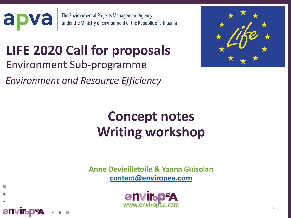

## **LIFE 2020 Call for proposals** Environment Sub-programme

*Environment and Resource Efficiency* 

**envirabeg** 



# **Concept notes Writing workshop**

**Anne Devieilletoile & Yanna Guisolan [contact@enviropea.com](mailto:contact@enviropea.com)**

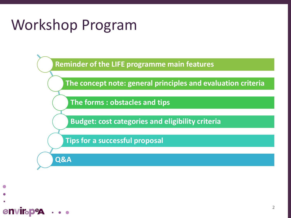# Workshop Program

**Reminder of the LIFE programme main features**

**The concept note: general principles and evaluation criteria**

**The forms : obstacles and tips**

**Budget: cost categories and eligibility criteria**

**Tips for a successful proposal**

**Q&A**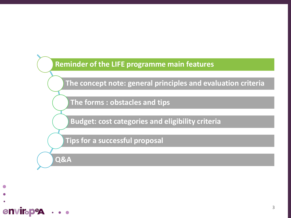

**The concept note: general principles and evaluation criteria**

**The forms : obstacles and tips**

**Budget: cost categories and eligibility criteria**

**Tips for a successful proposal**

**Q&A**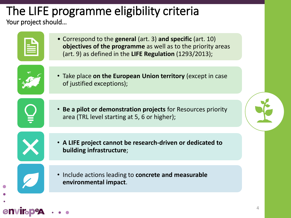### The LIFE programme eligibility criteria Your project should...

|  | ÷                                                                                                                                                          |                                                                                   |  |
|--|------------------------------------------------------------------------------------------------------------------------------------------------------------|-----------------------------------------------------------------------------------|--|
|  | <b>Contract Contract Contract Contract Contract Contract Contract Contract Contract Contract Contract Contract Co</b><br>the control of the control of the |                                                                                   |  |
|  | the control of the control of the control of                                                                                                               | the control of the control of the<br>the control of the control of the control of |  |
|  |                                                                                                                                                            |                                                                                   |  |

• Correspond to the **general** (art. 3) **and specific** (art. 10) **objectives of the programme** as well as to the priority areas (art. 9) as defined in the **LIFE Regulation** (1293/2013);



• Take place **on the European Union territory** (except in case of justified exceptions);



envirap

- **Be a pilot or demonstration projects** for Resources priority area (TRL level starting at 5, 6 or higher);
- **A LIFE project cannot be research-driven or dedicated to building infrastructure**;
- Include actions leading to **concrete and measurable environmental impact**.

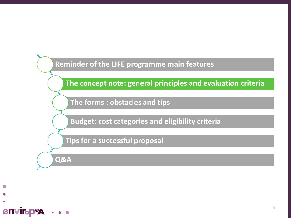

**The concept note: general principles and evaluation criteria**

**The forms : obstacles and tips**

**Budget: cost categories and eligibility criteria**

**Tips for a successful proposal**

**Q&A**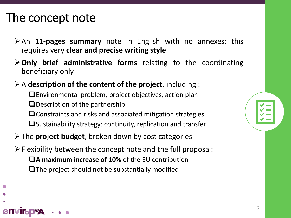### The concept note

envir<sub>o</sub>p

- ➢An **11-pages summary** note in English with no annexes: this requires very **clear and precise writing style**
- ➢**Only brief administrative forms** relating to the coordinating beneficiary only
- ➢A **description of the content of the project**, including :
	- ❑Environmental problem, project objectives, action plan
	- $\Box$  Description of the partnership
	- ❑Constraints and risks and associated mitigation strategies
	- $\Box$  Sustainability strategy: continuity, replication and transfer
- ➢The **project budget**, broken down by cost categories
- $\triangleright$  Flexibility between the concept note and the full proposal:
	- ❑**A maximum increase of 10%** of the EU contribution  $\Box$  The project should not be substantially modified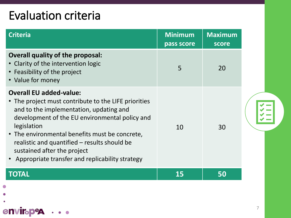### Evaluation criteria

enviropea

 $\bullet$   $\bullet$   $\bullet$ 

| <b>Criteria</b>                                                                                                                                                                                                                                                                                                                                                                          | <b>Minimum</b><br>pass score | <b>Maximum</b><br>score |  |
|------------------------------------------------------------------------------------------------------------------------------------------------------------------------------------------------------------------------------------------------------------------------------------------------------------------------------------------------------------------------------------------|------------------------------|-------------------------|--|
| <b>Overall quality of the proposal:</b><br>• Clarity of the intervention logic<br>• Feasibility of the project<br>• Value for money                                                                                                                                                                                                                                                      | 5                            | 20                      |  |
| <b>Overall EU added-value:</b><br>• The project must contribute to the LIFE priorities<br>and to the implementation, updating and<br>development of the EU environmental policy and<br>legislation<br>• The environmental benefits must be concrete,<br>realistic and quantified - results should be<br>sustained after the project<br>• Appropriate transfer and replicability strategy | 10                           | 30                      |  |
| TOTAL                                                                                                                                                                                                                                                                                                                                                                                    | 15                           | 50                      |  |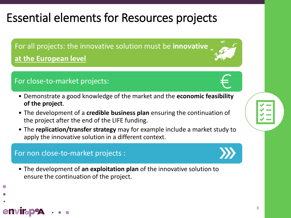8

### Essential elements for Resources projects

For all projects: the innovative solution must be **innovative at the European level**

### For close-to-market projects:

- Demonstrate a good knowledge of the market and the **economic feasibility of the project**.
- The development of a **credible business plan** ensuring the continuation of the project after the end of the LIFE funding.
- The **replication/transfer strategy** may for example include a market study to apply the innovative solution in a different context.

### For non close-to-market projects :

envir<sub>o</sub>p

• The development of **an exploitation plan** of the innovative solution to ensure the continuation of the project.



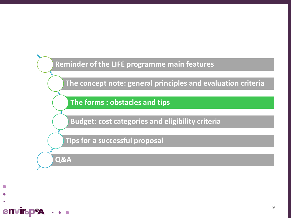

**The concept note: general principles and evaluation criteria**

**The forms : obstacles and tips**

**Budget: cost categories and eligibility criteria**

**Tips for a successful proposal**

**Q&A**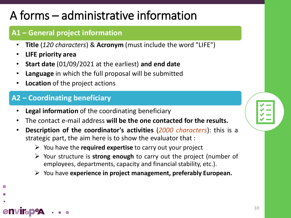### A forms – administrative information

### **A1 – General project information**

- **Title** (*120 characters*) & **Acronym** (must include the word "LIFE")
- **LIFE priority area**

envir<sub>o</sub>p

- **Start date** (01/09/2021 at the earliest) **and end date**
- **Language** in which the full proposal will be submitted
- **Location** of the project actions

### **A2 – Coordinating beneficiary**

- **Legal information** of the coordinating beneficiary
- The contact e-mail address **will be the one contacted for the results.**
- **Description of the coordinator's activities** (*2000 characters*): this is a strategic part, the aim here is to show the evaluator that :
	- ➢ You have the **required expertise** to carry out your project
	- ➢ Your structure is **strong enough** to carry out the project (number of employees, departments, capacity and financial stability, etc.).

10

➢ You have **experience in project management, preferably European.**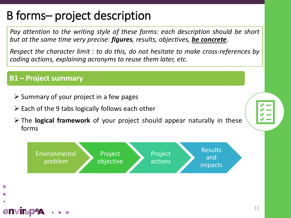### B forms– project description

*Pay attention to the writing style of these forms: each description should be short but at the same time very precise: figures, results, objectives, be concrete.*

*Respect the character limit : to do this, do not hesitate to make cross-references by coding actions, explaining acronyms to reuse them later, etc.*

#### **B1 – Project summary**

envir<sub>o</sub>p

- $\triangleright$  Summary of your project in a few pages
- $\triangleright$  Each of the 9 tabs logically follows each other
- ➢ The **logical framework** of your project should appear naturally in these forms

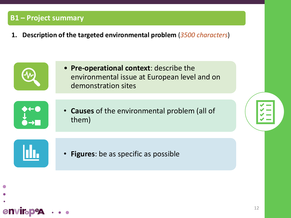**1. Description of the targeted environmental problem** (*3500 characters*)

• **Pre-operational context**: describe the environmental issue at European level and on demonstration sites



• **Causes** of the environmental problem (all of them)



**envirapeg** 

• **Figures**: be as specific as possible

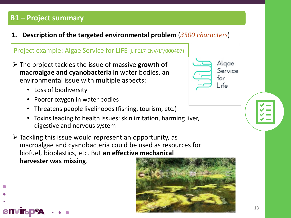**1. Description of the targeted environmental problem** (*3500 characters*)

#### Project example: Algae Service for LIFE (LIFE17 ENV/LT/000407)

- ➢ The project tackles the issue of massive **growth of macroalgae and cyanobacteria** in water bodies, an environmental issue with multiple aspects:
	- Loss of biodiversity

envirop

- Poorer oxygen in water bodies
- Threatens people livelihoods (fishing, tourism, etc.)
- Toxins leading to health issues: skin irritation, harming liver, digestive and nervous system
- $\triangleright$  Tackling this issue would represent an opportunity, as macroalgae and cyanobacteria could be used as resources for biofuel, bioplastics, etc. But **an effective mechanical harvester was missing**.



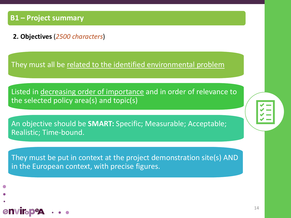envirabe

**2. Objectives** (*2500 characters*)

They must all be related to the identified environmental problem

Listed in decreasing order of importance and in order of relevance to the selected policy area(s) and topic(s)

An objective should be **SMART:** Specific; Measurable; Acceptable; Realistic; Time-bound.

They must be put in context at the project demonstration site(s) AND in the European context, with precise figures.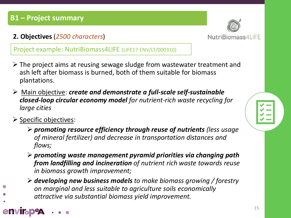**2. Objectives** (*2500 characters*)

Project example: NutriBiomass4LIFE (LIFE17 ENV/LT/000310)

- ➢ The project aims at reusing sewage sludge from wastewater treatment and ash left after biomass is burned, both of them suitable for biomass plantations.
- ➢ Main objective: *create and demonstrate a full-scale self-sustainable closed-loop circular economy model for nutrient-rich waste recycling for large cities*
- ➢ Specific objectives:

envirap

- ➢ *promoting resource efficiency through reuse of nutrients (less usage of mineral fertilizer) and decrease in transportation distances and flows;*
- ➢ *promoting waste management pyramid priorities via changing path from landfilling and incineration of nutrient rich waste towards reuse in biomass growth improvement;*
- ➢ *developing new business models to make biomass growing / forestry on marginal and less suitable to agriculture soils economically attractive via substantial biomass yield improvement.*



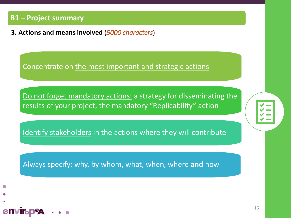**enviroped** 

**3. Actions and means involved** (*5000 characters*)

Concentrate on the most important and strategic actions

Do not forget mandatory actions: a strategy for disseminating the results of your project, the mandatory "Replicability" action

Identify stakeholders in the actions where they will contribute

Always specify: why, by whom, what, when, where **and** how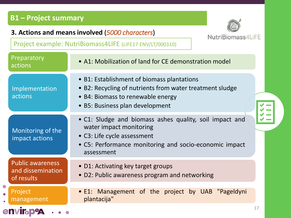#### **3. Actions and means involved** (*5000 characters*)



Project example: NutriBiomass4LIFE (LIFE17 ENV/LT/000310)

| Preparatory<br>actions                                     | • A1: Mobilization of land for CE demonstration model                                                                                                                                     |  |
|------------------------------------------------------------|-------------------------------------------------------------------------------------------------------------------------------------------------------------------------------------------|--|
| Implementation<br>actions                                  | • B1: Establishment of biomass plantations<br>• B2: Recycling of nutrients from water treatment sludge<br>• B4: Biomass to renewable energy<br>• B5: Business plan development            |  |
| Monitoring of the<br>impact actions                        | • C1: Sludge and biomass ashes quality, soil impact and<br>water impact monitoring<br>• C3: Life cycle assessment<br>• C5: Performance monitoring and socio-economic impact<br>assessment |  |
| <b>Public awareness</b><br>and dissemination<br>of results | • D1: Activating key target groups<br>• D2: Public awareness program and networking                                                                                                       |  |
| <b>Project</b><br>management                               | • E1: Management of the project by UAB "Pageldyni<br>plantacija"                                                                                                                          |  |
| <b>ENVIR DeA</b>                                           | 17                                                                                                                                                                                        |  |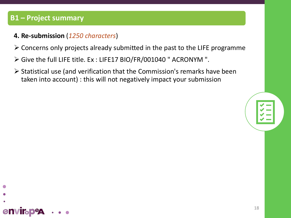#### **4. Re-submission** (*1250 characters*)

- ➢ Concerns only projects already submitted in the past to the LIFE programme
- ➢ Give the full LIFE title. Ex : LIFE17 BIO/FR/001040 " ACRONYM ".
- ➢ Statistical use (and verification that the Commission's remarks have been taken into account) : this will not negatively impact your submission



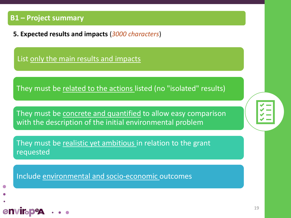**enviroped** 

**5. Expected results and impacts** (*3000 characters*)

List only the main results and impacts

They must be related to the actions listed (no "isolated" results)

They must be concrete and quantified to allow easy comparison with the description of the initial environmental problem

They must be realistic yet ambitious in relation to the grant requested

Include environmental and socio-economic outcomes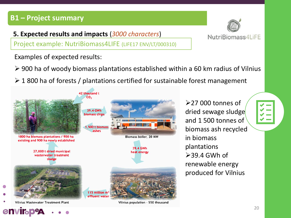**5. Expected results and impacts** (*3000 characters*)

Project example: NutriBiomass4LIFE (LIFE17 ENV/LT/000310)



NutriBiomass4LiFE

Examples of expected results:

➢ 900 ha of woody biomass plantations established within a 60 km radius of Vilnius

Vilnius population - 550 thousand

 $\geq 1$  800 ha of forests / plantations certified for sustainable forest management

42 thousand t CO, 39.4 GWh biomass chips 1,500 t biomass ashes 1800 ha biomass plantations / 900 ha Biomass boiler, 20 MW existing and 900 ha newly established 39.4 GWh 27,000 t dried municipal heat energy wasterwater treatment sludge 115 million m<sup>3</sup> effluent water

Vilnius Wastewater Treatment Plant

➢27 000 tonnes of dried sewage sludge and 1 500 tonnes of biomass ash recycled in biomass plantations  $>39.4$  GWh of renewable energy produced for Vilnius

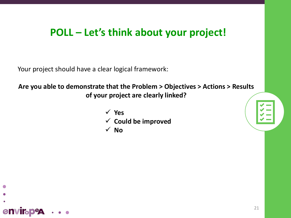### **POLL – Let's think about your project!**

Your project should have a clear logical framework:

**enviroped** 

### **Are you able to demonstrate that the Problem > Objectives > Actions > Results of your project are clearly linked?**

✓ **Yes** ✓ **Could be improved** ✓ **No**

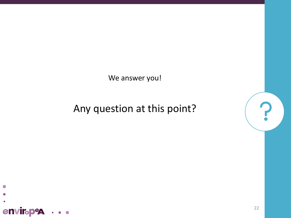We answer you!

### Any question at this point?



 $\mathbf{r}$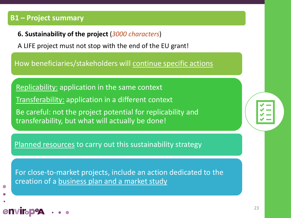envirab

**6. Sustainability of the project** (*3000 characters*)

A LIFE project must not stop with the end of the EU grant!

How beneficiaries/stakeholders will continue specific actions

Replicability: application in the same context Transferability: application in a different context Be careful: not the project potential for replicability and transferability, but what will actually be done!

Planned resources to carry out this sustainability strategy

For close-to-market projects, include an action dedicated to the creation of a business plan and a market study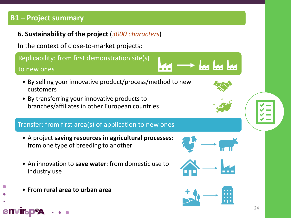#### **6. Sustainability of the project** (*3000 characters*)

In the context of close-to-market projects:

Replicability: from first demonstration site(s)

#### to new ones

envir<sub>o</sub>p

- By selling your innovative product/process/method to new customers
- By transferring your innovative products to branches/affiliates in other European countries

#### Transfer: from first area(s) of application to new ones

- A project **saving resources in agricultural processes**: from one type of breeding to another
- An innovation to **save water**: from domestic use to industry use
- From **rural area to urban area**



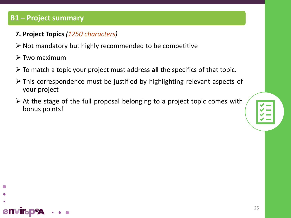- **7. Project Topics** *(1250 characters)*
- ➢ Not mandatory but highly recommended to be competitive
- ➢ Two maximum

envirap

- ➢ To match a topic your project must address **all** the specifics of that topic.
- ➢ This correspondence must be justified by highlighting relevant aspects of your project
- ➢ At the stage of the full proposal belonging to a project topic comes with bonus points!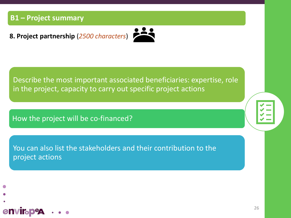**8. Project partnership** (*2500 characters*)



Describe the most important associated beneficiaries: expertise, role in the project, capacity to carry out specific project actions

How the project will be co-financed?

You can also list the stakeholders and their contribution to the project actions

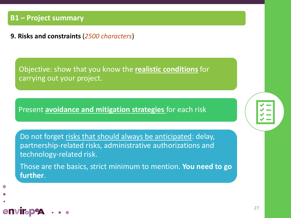**envirabe** 

**9. Risks and constraints** (*2500 characters*)

Objective: show that you know the **realistic conditions** for carrying out your project.

Present **avoidance and mitigation strategies** for each risk

Do not forget risks that should always be anticipated: delay, partnership-related risks, administrative authorizations and technology-related risk.

Those are the basics, strict minimum to mention. **You need to go further**.

27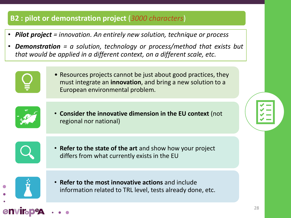### **B2 : pilot or demonstration project** (*3000 characters*)

- *Pilot project = innovation. An entirely new solution, technique or process*
- *Demonstration = a solution, technology or process/method that exists but that would be applied in a different context, on a different scale, etc.*



• Resources projects cannot be just about good practices, they must integrate an **innovation**, and bring a new solution to a European environmental problem.



• **Consider the innovative dimension in the EU context** (not regional nor national)



• **Refer to the state of the art** and show how your project differs from what currently exists in the EU



envirad

• **Refer to the most innovative actions** and include information related to TRL level, tests already done, etc.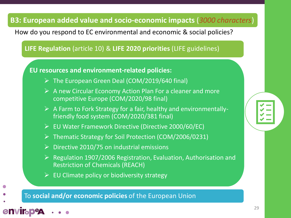### **B3: European added value and socio-economic impacts** (*3000 characters*)

How do you respond to EC environmental and economic & social policies?

**LIFE Regulation** (article 10) & **LIFE 2020 priorities** (LIFE guidelines)

**EU resources and environment-related policies:**

- ➢ The European Green Deal (COM/2019/640 final)
- $\triangleright$  A new Circular Economy Action Plan For a cleaner and more competitive Europe (COM/2020/98 final)
- $\triangleright$  A Farm to Fork Strategy for a fair, healthy and environmentallyfriendly food system (COM/2020/381 final)
- ➢ EU Water Framework Directive (Directive 2000/60/EC)
- ➢ Thematic Strategy for Soil Protection (COM/2006/0231)
- $\triangleright$  Directive 2010/75 on industrial emissions
- ➢ Regulation 1907/2006 Registration, Evaluation, Authorisation and Restriction of Chemicals (REACH)
- $\triangleright$  EU Climate policy or biodiversity strategy

To **social and/or economic policies** of the European Union

**envirabe**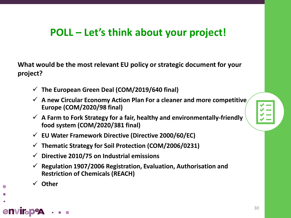### **POLL – Let's think about your project!**

**What would be the most relevant EU policy or strategic document for your project?**

- ✓ **The European Green Deal (COM/2019/640 final)**
- ✓ **A new Circular Economy Action Plan For a cleaner and more competitive Europe (COM/2020/98 final)**
- ✓ **A Farm to Fork Strategy for a fair, healthy and environmentally-friendly food system (COM/2020/381 final)**
- ✓ **EU Water Framework Directive (Directive 2000/60/EC)**
- ✓ **Thematic Strategy for Soil Protection (COM/2006/0231)**
- ✓ **Directive 2010/75 on Industrial emissions**
- ✓ **Regulation 1907/2006 Registration, Evaluation, Authorisation and Restriction of Chemicals (REACH)**
- ✓ **Other**

**envirapea**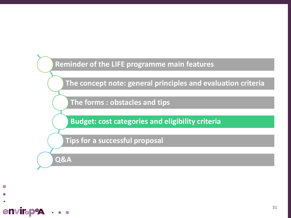

**The concept note: general principles and evaluation criteria**

**The forms : obstacles and tips**

**Budget: cost categories and eligibility criteria**

**Tips for a successful proposal**

**Q&A**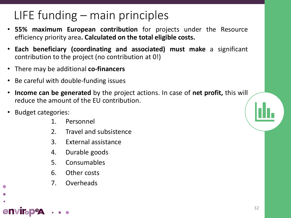### LIFE funding – main principles

- **55% maximum European contribution** for projects under the Resource efficiency priority area**. Calculated on the total eligible costs.**
- **Each beneficiary (coordinating and associated) must make** a significant contribution to the project (no contribution at 0!)
- There may be additional **co-financers**
- Be careful with double-funding issues
- **Income can be generated** by the project actions. In case of **net profit,** this will reduce the amount of the EU contribution.
- Budget categories:

**enviroped** 

- 1. Personnel
- 2. Travel and subsistence
- 3. External assistance
- 4. Durable goods
- 5. Consumables
- 6. Other costs
- 7. Overheads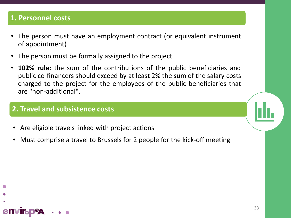### **1. Personnel costs**

envir<sub>o</sub>p

- The person must have an employment contract (or equivalent instrument of appointment)
- The person must be formally assigned to the project
- **102% rule**: the sum of the contributions of the public beneficiaries and public co-financers should exceed by at least 2% the sum of the salary costs charged to the project for the employees of the public beneficiaries that are "non-additional".

#### **2. Travel and subsistence costs**

- Are eligible travels linked with project actions
- Must comprise a travel to Brussels for 2 people for the kick-off meeting

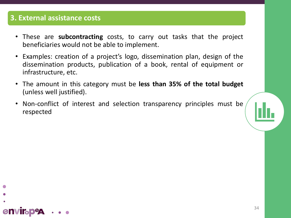### **3. External assistance costs**

- These are **subcontracting** costs, to carry out tasks that the project beneficiaries would not be able to implement.
- Examples: creation of a project's logo, dissemination plan, design of the dissemination products, publication of a book, rental of equipment or infrastructure, etc.
- The amount in this category must be **less than 35% of the total budget** (unless well justified).
- Non-conflict of interest and selection transparency principles must be respected



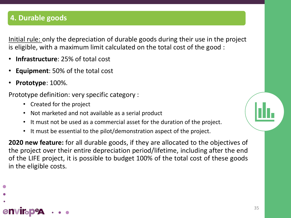### **4. Durable goods**

Initial rule: only the depreciation of durable goods during their use in the project is eligible, with a maximum limit calculated on the total cost of the good :

- **Infrastructure**: 25% of total cost
- **Equipment**: 50% of the total cost
- **Prototype**: 100%.

Prototype definition: very specific category :

- Created for the project
- Not marketed and not available as a serial product
- It must not be used as a commercial asset for the duration of the project.
- It must be essential to the pilot/demonstration aspect of the project.

**2020 new feature:** for all durable goods, if they are allocated to the objectives of the project over their entire depreciation period/lifetime, including after the end of the LIFE project, it is possible to budget 100% of the total cost of these goods in the eligible costs.

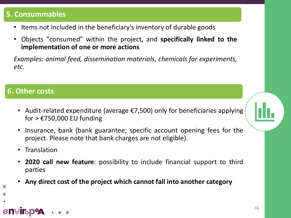### **5. Consummables**

- Items not included in the beneficiary's inventory of durable goods
- Objects "consumed" within the project, and **specifically linked to the implementation of one or more actions**

*Examples: animal feed, dissemination materials, chemicals for experiments, etc.*

### **6. Other costs**

- Audit-related expenditure (average €7,500) only for beneficiaries applying for  $>$   $E$ 750,000 EU funding
- Insurance, bank (bank guarantee; specific account opening fees for the project. Please note that bank charges are not eligible).
- **Translation**

**envirabeg** 

- **2020 call new feature**: possibility to include financial support to third parties
- **Any direct cost of the project which cannot fall into another category**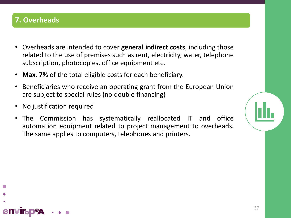### **7. Overheads**

envir<sub>b</sub>p

- Overheads are intended to cover **general indirect costs**, including those related to the use of premises such as rent, electricity, water, telephone subscription, photocopies, office equipment etc.
- **Max. 7%** of the total eligible costs for each beneficiary.
- Beneficiaries who receive an operating grant from the European Union are subject to special rules (no double financing)
- No justification required
- The Commission has systematically reallocated IT and office automation equipment related to project management to overheads. The same applies to computers, telephones and printers.

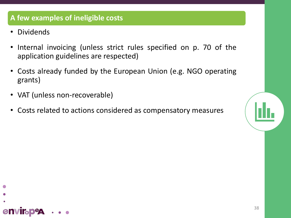### **A few examples of ineligible costs**

• Dividends

envirap

- Internal invoicing (unless strict rules specified on p. 70 of the application guidelines are respected)
- Costs already funded by the European Union (e.g. NGO operating grants)
- VAT (unless non-recoverable)
- Costs related to actions considered as compensatory measures

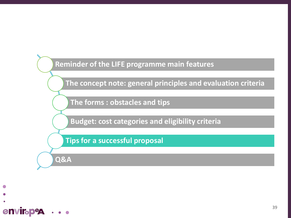**Reminder of the LIFE programme main features**

**The concept note: general principles and evaluation criteria**

**The forms : obstacles and tips**

**Budget: cost categories and eligibility criteria**

**Tips for a successful proposal**

**Q&A**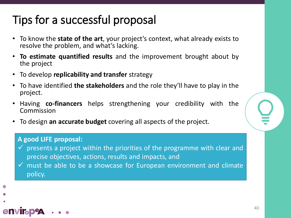### Tips for a successful proposal

- To know the **state of the art**, your project's context, what already exists to resolve the problem, and what's lacking.
- **To estimate quantified results** and the improvement brought about by the project
- To develop **replicability and transfer** strategy
- To have identified **the stakeholders** and the role they'll have to play in the project.
- Having **co-financers** helps strengthening your credibility with the Commission
- To design **an accurate budget** covering all aspects of the project.

#### **A good LIFE proposal:**

- $\checkmark$  presents a project within the priorities of the programme with clear and precise objectives, actions, results and impacts, and
- $\checkmark$  must be able to be a showcase for European environment and climate policy.

# envirap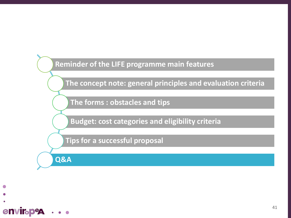

**The concept note: general principles and evaluation criteria**

**The forms : obstacles and tips**

**Budget: cost categories and eligibility criteria**

**Tips for a successful proposal**

**Q&A**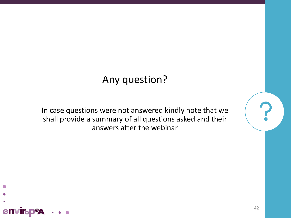### Any question?

In case questions were not answered kindly note that we shall provide a summary of all questions asked and their answers after the webinar

**enviroped**